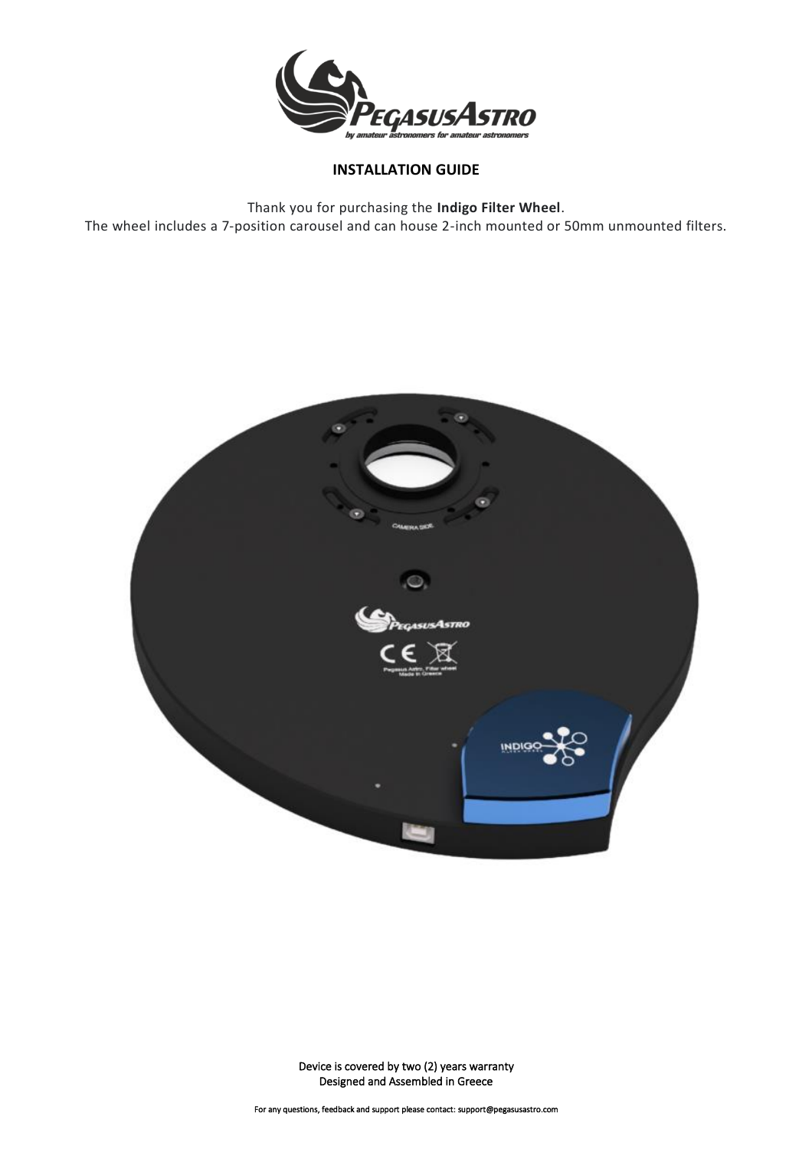

### **INSTALLATION GUIDE**

Thank you for purchasing the **Indigo Filter Wheel**. The wheel includes a 7-position carousel and can house 2-inch mounted or 50mm unmounted filters.

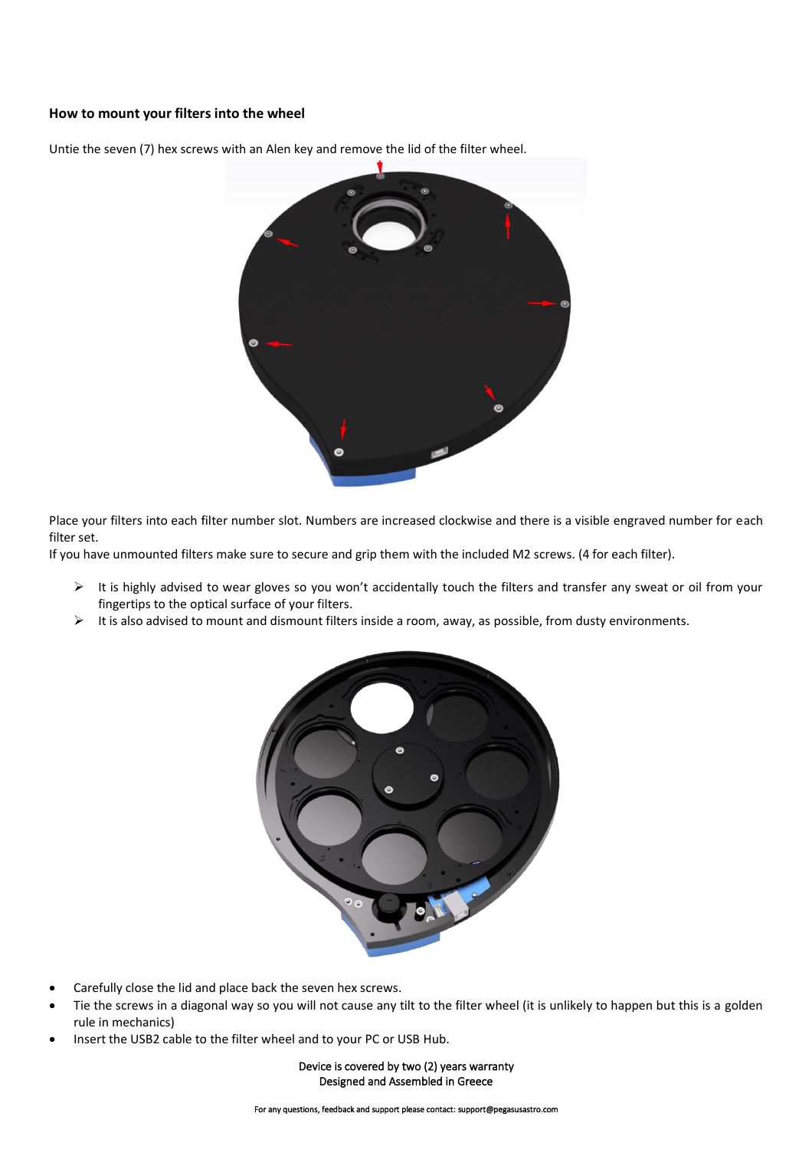#### **How to mount your filters into the wheel**



Untie the seven (7) hex screws with an Alen key and remove the lid of the filter wheel.

Place your filters into each filter number slot. Numbers are increased clockwise and there is a visible engraved number for each filter set.

If you have unmounted filters make sure to secure and grip them with the included M2 screws. (4 for each filter).

- ➢ It is highly advised to wear gloves so you won't accidentally touch the filters and transfer any sweat or oil from your fingertips to the optical surface of your filters.
- $\triangleright$  It is also advised to mount and dismount filters inside a room, away, as possible, from dusty environments.



- Carefully close the lid and place back the seven hex screws.
- Tie the screws in a diagonal way so you will not cause any tilt to the filter wheel (it is unlikely to happen but this is a golden rule in mechanics)
- Insert the USB2 cable to the filter wheel and to your PC or USB Hub.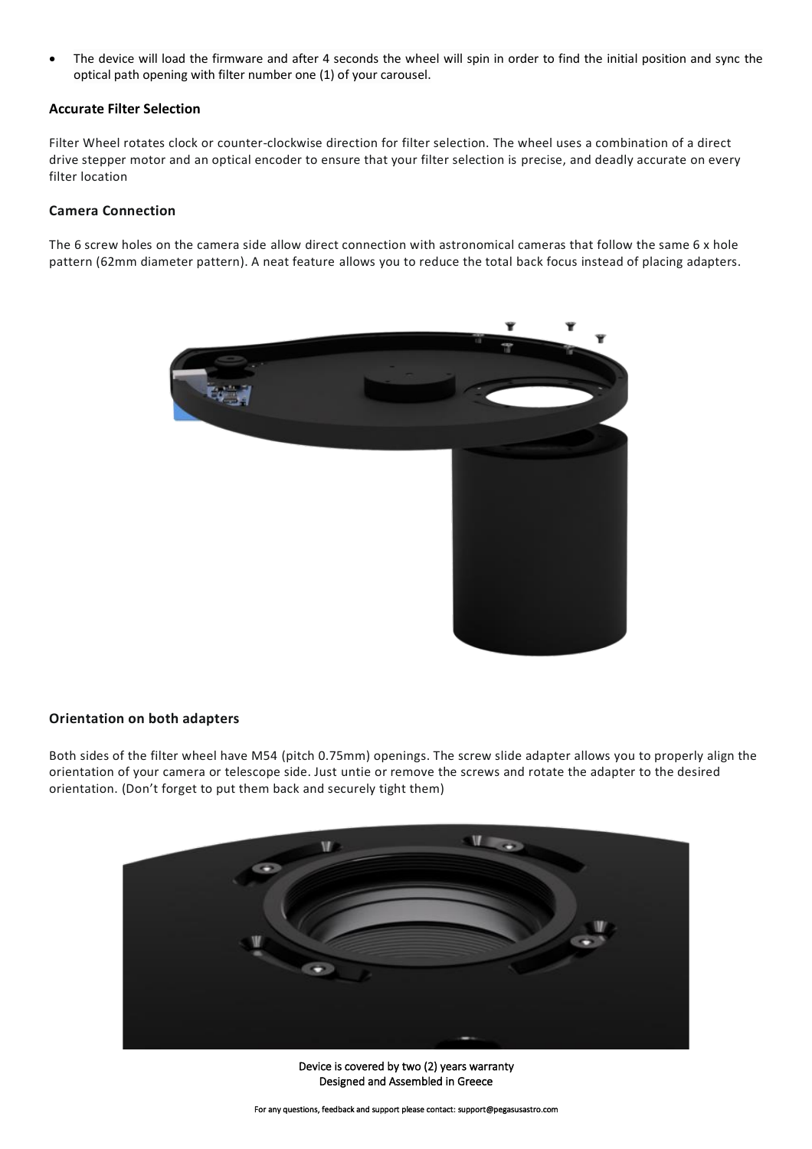• The device will load the firmware and after 4 seconds the wheel will spin in order to find the initial position and sync the optical path opening with filter number one (1) of your carousel.

#### **Accurate Filter Selection**

Filter Wheel rotates clock or counter-clockwise direction for filter selection. The wheel uses a combination of a direct drive stepper motor and an optical encoder to ensure that your filter selection is precise, and deadly accurate on every filter location

#### **Camera Connection**

The 6 screw holes on the camera side allow direct connection with astronomical cameras that follow the same 6 x hole pattern (62mm diameter pattern). A neat feature allows you to reduce the total back focus instead of placing adapters.



#### **Orientation on both adapters**

Both sides of the filter wheel have M54 (pitch 0.75mm) openings. The screw slide adapter allows you to properly align the orientation of your camera or telescope side. Just untie or remove the screws and rotate the adapter to the desired orientation. (Don't forget to put them back and securely tight them)



Device is covered by two (2) years warranty Designed and Assembled in Greece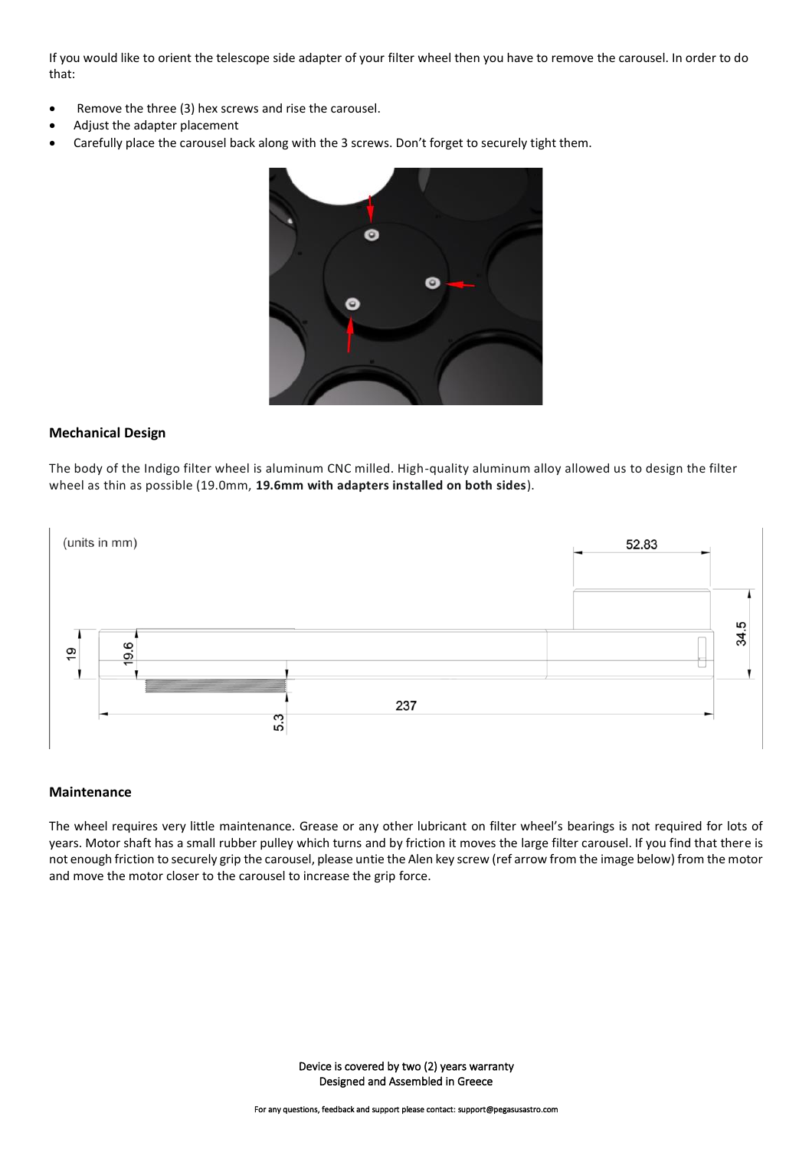If you would like to orient the telescope side adapter of your filter wheel then you have to remove the carousel. In order to do that:

- Remove the three (3) hex screws and rise the carousel.
- Adjust the adapter placement
- Carefully place the carousel back along with the 3 screws. Don't forget to securely tight them.



#### **Mechanical Design**

The body of the Indigo filter wheel is aluminum CNC milled. High-quality aluminum alloy allowed us to design the filter wheel as thin as possible (19.0mm, **19.6mm with adapters installed on both sides**).



#### **Maintenance**

The wheel requires very little maintenance. Grease or any other lubricant on filter wheel's bearings is not required for lots of years. Motor shaft has a small rubber pulley which turns and by friction it moves the large filter carousel. If you find that there is not enough friction to securely grip the carousel, please untie the Alen key screw (ref arrow from the image below) from the motor and move the motor closer to the carousel to increase the grip force.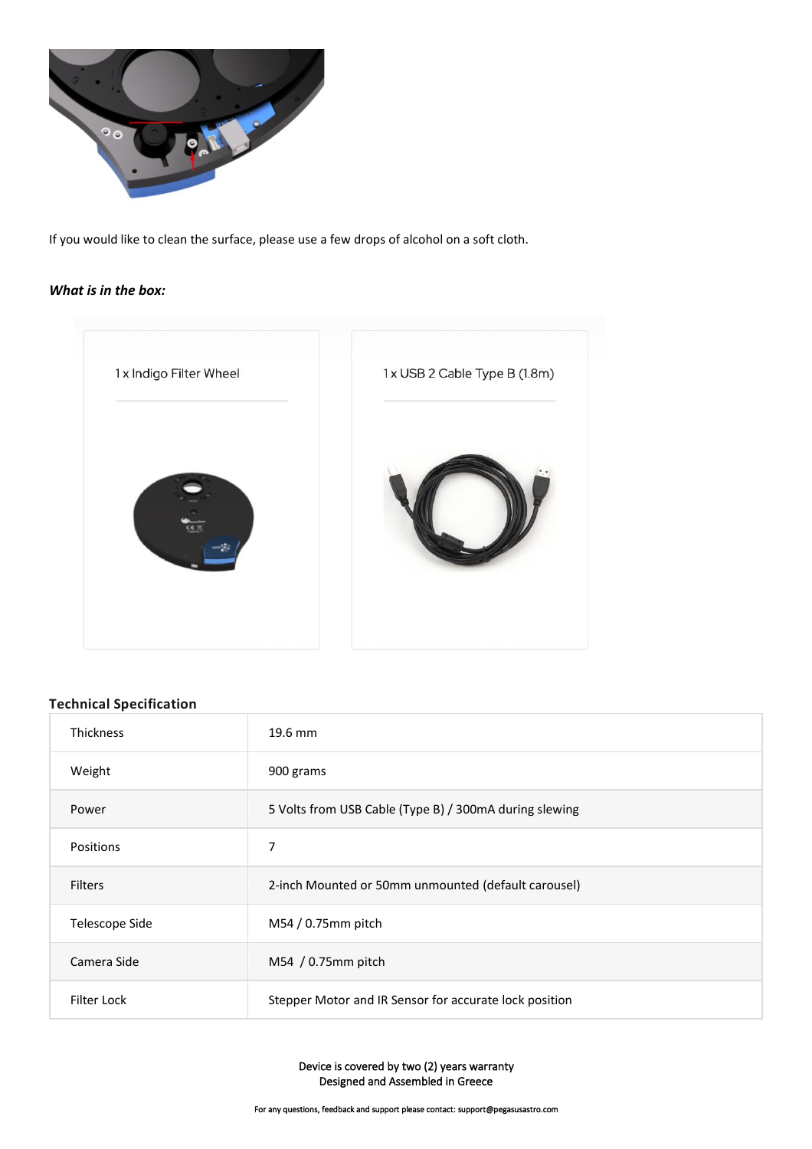

If you would like to clean the surface, please use a few drops of alcohol on a soft cloth.

#### *What is in the box:*



## **Technical Specification**

| <b>Thickness</b> | 19.6 mm                                                |
|------------------|--------------------------------------------------------|
| Weight           | 900 grams                                              |
| Power            | 5 Volts from USB Cable (Type B) / 300mA during slewing |
| <b>Positions</b> | 7                                                      |
| <b>Filters</b>   | 2-inch Mounted or 50mm unmounted (default carousel)    |
| Telescope Side   | M54 / 0.75mm pitch                                     |
| Camera Side      | M54 / 0.75mm pitch                                     |
| Filter Lock      | Stepper Motor and IR Sensor for accurate lock position |